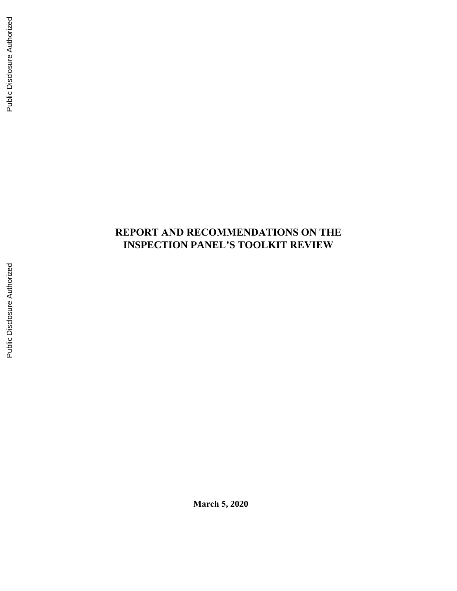# **REPORT AND RECOMMENDATIONS ON THE INSPECTION PANEL'S TOOLKIT REVIEW**

**March 5, 2020**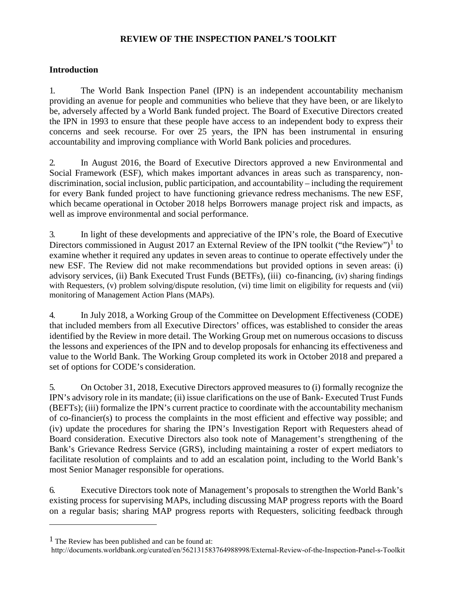#### **REVIEW OF THE INSPECTION PANEL'S TOOLKIT**

#### **Introduction**

1. The World Bank Inspection Panel (IPN) is an independent accountability mechanism providing an avenue for people and communities who believe that they have been, or are likelyto be, adversely affected by a World Bank funded project. The Board of Executive Directors created the IPN in 1993 to ensure that these people have access to an independent body to express their concerns and seek recourse. For over 25 years, the IPN has been instrumental in ensuring accountability and improving compliance with World Bank policies and procedures.

2. In August 2016, the Board of Executive Directors approved a new Environmental and Social Framework (ESF), which makes important advances in areas such as transparency, nondiscrimination, social inclusion, public participation, and accountability – including the requirement for every Bank funded project to have functioning grievance redress mechanisms. The new ESF, which became operational in October 2018 helps Borrowers manage project risk and impacts, as well as improve environmental and social performance.

3. In light of these developments and appreciative of the IPN's role, the Board of Executive Directors commissioned in August 20[1](#page-2-0)7 an External Review of the IPN toolkit ("the Review")<sup>1</sup> to examine whether it required any updates in seven areas to continue to operate effectively under the new ESF. The Review did not make recommendations but provided options in seven areas: (i) advisory services, (ii) Bank Executed Trust Funds (BETFs), (iii) co-financing, (iv) sharing findings with Requesters, (v) problem solving/dispute resolution, (vi) time limit on eligibility for requests and (vii) monitoring of Management Action Plans (MAPs).

4. In July 2018, a Working Group of the Committee on Development Effectiveness (CODE) that included members from all Executive Directors' offices, was established to consider the areas identified by the Review in more detail. The Working Group met on numerous occasions to discuss the lessons and experiences of the IPN and to develop proposals for enhancing its effectiveness and value to the World Bank. The Working Group completed its work in October 2018 and prepared a set of options for CODE's consideration.

5. On October 31, 2018, Executive Directors approved measures to (i) formally recognize the IPN's advisory role in its mandate; (ii) issue clarifications on the use of Bank- Executed Trust Funds (BEFTs); (iii) formalize the IPN's current practice to coordinate with the accountability mechanism of co-financier(s) to process the complaints in the most efficient and effective way possible; and (iv) update the procedures for sharing the IPN's Investigation Report with Requesters ahead of Board consideration. Executive Directors also took note of Management's strengthening of the Bank's Grievance Redress Service (GRS), including maintaining a roster of expert mediators to facilitate resolution of complaints and to add an escalation point, including to the World Bank's most Senior Manager responsible for operations.

6. Executive Directors took note of Management's proposals to strengthen the World Bank's existing process for supervising MAPs, including discussing MAP progress reports with the Board on a regular basis; sharing MAP progress reports with Requesters, soliciting feedback through

<span id="page-2-0"></span> $<sup>1</sup>$  The Review has been published and can be found at:</sup>

<http://documents.worldbank.org/curated/en/562131583764988998/External-Review-of-the-Inspection-Panel-s-Toolkit>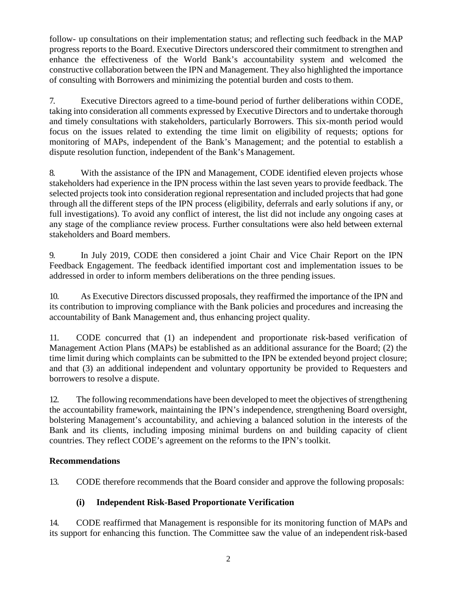follow- up consultations on their implementation status; and reflecting such feedback in the MAP progress reports to the Board. Executive Directors underscored their commitment to strengthen and enhance the effectiveness of the World Bank's accountability system and welcomed the constructive collaboration between the IPN and Management. They also highlighted the importance of consulting with Borrowers and minimizing the potential burden and costs to them.

7. Executive Directors agreed to a time-bound period of further deliberations within CODE, taking into consideration all comments expressed by Executive Directors and to undertake thorough and timely consultations with stakeholders, particularly Borrowers. This six-month period would focus on the issues related to extending the time limit on eligibility of requests; options for monitoring of MAPs, independent of the Bank's Management; and the potential to establish a dispute resolution function, independent of the Bank's Management.

8. With the assistance of the IPN and Management, CODE identified eleven projects whose stakeholders had experience in the IPN process within the last seven years to provide feedback. The selected projects took into consideration regional representation and included projects that had gone through all the different steps of the IPN process (eligibility, deferrals and early solutions if any, or full investigations). To avoid any conflict of interest, the list did not include any ongoing cases at any stage of the compliance review process. Further consultations were also held between external stakeholders and Board members.

9. In July 2019, CODE then considered a joint Chair and Vice Chair Report on the IPN Feedback Engagement. The feedback identified important cost and implementation issues to be addressed in order to inform members deliberations on the three pending issues.

10. As Executive Directors discussed proposals, they reaffirmed the importance of the IPN and its contribution to improving compliance with the Bank policies and procedures and increasing the accountability of Bank Management and, thus enhancing project quality.

11. CODE concurred that (1) an independent and proportionate risk-based verification of Management Action Plans (MAPs) be established as an additional assurance for the Board; (2) the time limit during which complaints can be submitted to the IPN be extended beyond project closure; and that (3) an additional independent and voluntary opportunity be provided to Requesters and borrowers to resolve a dispute.

12. The following recommendations have been developed to meet the objectives of strengthening the accountability framework, maintaining the IPN's independence, strengthening Board oversight, bolstering Management's accountability, and achieving a balanced solution in the interests of the Bank and its clients, including imposing minimal burdens on and building capacity of client countries. They reflect CODE's agreement on the reforms to the IPN's toolkit.

#### **Recommendations**

13. CODE therefore recommends that the Board consider and approve the following proposals:

# **(i) Independent Risk-Based Proportionate Verification**

14. CODE reaffirmed that Management is responsible for its monitoring function of MAPs and its support for enhancing this function. The Committee saw the value of an independent risk-based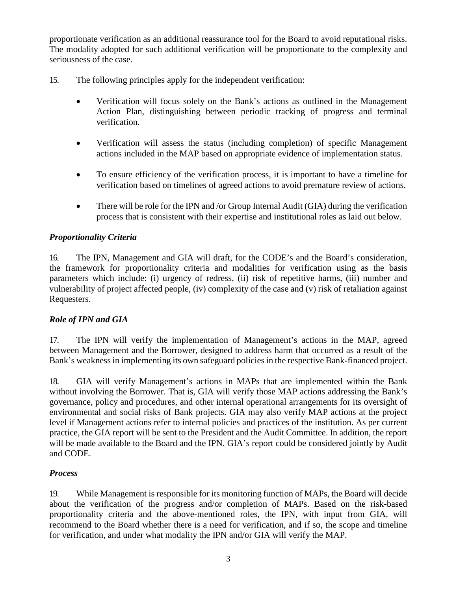proportionate verification as an additional reassurance tool for the Board to avoid reputational risks. The modality adopted for such additional verification will be proportionate to the complexity and seriousness of the case.

- 15. The following principles apply for the independent verification:
	- Verification will focus solely on the Bank's actions as outlined in the Management Action Plan, distinguishing between periodic tracking of progress and terminal verification.
	- Verification will assess the status (including completion) of specific Management actions included in the MAP based on appropriate evidence of implementation status.
	- To ensure efficiency of the verification process, it is important to have a timeline for verification based on timelines of agreed actions to avoid premature review of actions.
	- There will be role for the IPN and /or Group Internal Audit (GIA) during the verification process that is consistent with their expertise and institutional roles as laid out below.

#### *Proportionality Criteria*

16. The IPN, Management and GIA will draft, for the CODE's and the Board's consideration, the framework for proportionality criteria and modalities for verification using as the basis parameters which include: (i) urgency of redress, (ii) risk of repetitive harms, (iii) number and vulnerability of project affected people, (iv) complexity of the case and (v) risk of retaliation against Requesters.

#### *Role of IPN and GIA*

17. The IPN will verify the implementation of Management's actions in the MAP, agreed between Management and the Borrower, designed to address harm that occurred as a result of the Bank's weakness in implementing its own safeguard policies in the respective Bank-financed project.

18. GIA will verify Management's actions in MAPs that are implemented within the Bank without involving the Borrower. That is, GIA will verify those MAP actions addressing the Bank's governance, policy and procedures, and other internal operational arrangements for its oversight of environmental and social risks of Bank projects. GIA may also verify MAP actions at the project level if Management actions refer to internal policies and practices of the institution. As per current practice, the GIA report will be sent to the President and the Audit Committee. In addition, the report will be made available to the Board and the IPN. GIA's report could be considered jointly by Audit and CODE.

#### *Process*

19. While Management is responsible for its monitoring function of MAPs, the Board will decide about the verification of the progress and/or completion of MAPs. Based on the risk-based proportionality criteria and the above-mentioned roles, the IPN, with input from GIA, will recommend to the Board whether there is a need for verification, and if so, the scope and timeline for verification, and under what modality the IPN and/or GIA will verify the MAP.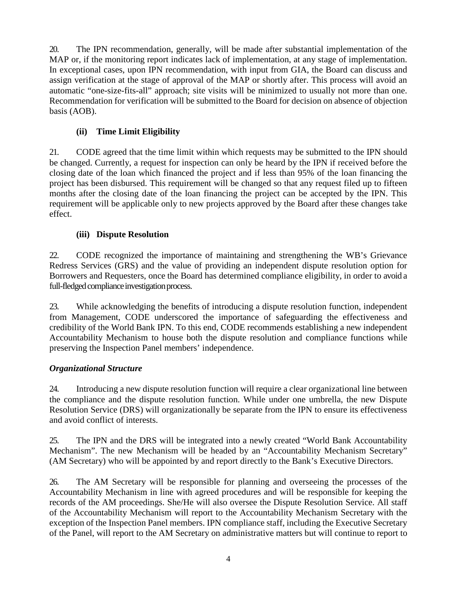20. The IPN recommendation, generally, will be made after substantial implementation of the MAP or, if the monitoring report indicates lack of implementation, at any stage of implementation. In exceptional cases, upon IPN recommendation, with input from GIA, the Board can discuss and assign verification at the stage of approval of the MAP or shortly after. This process will avoid an automatic "one-size-fits-all" approach; site visits will be minimized to usually not more than one. Recommendation for verification will be submitted to the Board for decision on absence of objection basis (AOB).

# **(ii) Time Limit Eligibility**

21. CODE agreed that the time limit within which requests may be submitted to the IPN should be changed. Currently, a request for inspection can only be heard by the IPN if received before the closing date of the loan which financed the project and if less than 95% of the loan financing the project has been disbursed. This requirement will be changed so that any request filed up to fifteen months after the closing date of the loan financing the project can be accepted by the IPN. This requirement will be applicable only to new projects approved by the Board after these changes take effect.

### **(iii) Dispute Resolution**

22. CODE recognized the importance of maintaining and strengthening the WB's Grievance Redress Services (GRS) and the value of providing an independent dispute resolution option for Borrowers and Requesters, once the Board has determined compliance eligibility, in order to avoid a full-fledged compliance investigation process.

23. While acknowledging the benefits of introducing a dispute resolution function, independent from Management, CODE underscored the importance of safeguarding the effectiveness and credibility of the World Bank IPN. To this end, CODE recommends establishing a new independent Accountability Mechanism to house both the dispute resolution and compliance functions while preserving the Inspection Panel members' independence.

# *Organizational Structure*

24. Introducing a new dispute resolution function will require a clear organizational line between the compliance and the dispute resolution function. While under one umbrella, the new Dispute Resolution Service (DRS) will organizationally be separate from the IPN to ensure its effectiveness and avoid conflict of interests.

25. The IPN and the DRS will be integrated into a newly created "World Bank Accountability Mechanism". The new Mechanism will be headed by an "Accountability Mechanism Secretary" (AM Secretary) who will be appointed by and report directly to the Bank's Executive Directors.

26. The AM Secretary will be responsible for planning and overseeing the processes of the Accountability Mechanism in line with agreed procedures and will be responsible for keeping the records of the AM proceedings. She/He will also oversee the Dispute Resolution Service. All staff of the Accountability Mechanism will report to the Accountability Mechanism Secretary with the exception of the Inspection Panel members. IPN compliance staff, including the Executive Secretary of the Panel, will report to the AM Secretary on administrative matters but will continue to report to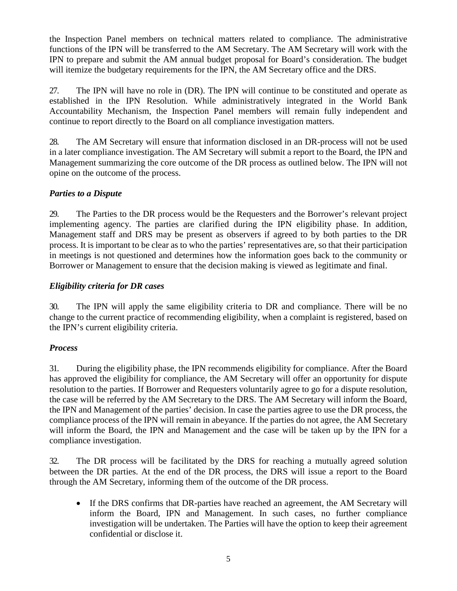the Inspection Panel members on technical matters related to compliance. The administrative functions of the IPN will be transferred to the AM Secretary. The AM Secretary will work with the IPN to prepare and submit the AM annual budget proposal for Board's consideration. The budget will itemize the budgetary requirements for the IPN, the AM Secretary office and the DRS.

27. The IPN will have no role in (DR). The IPN will continue to be constituted and operate as established in the IPN Resolution. While administratively integrated in the World Bank Accountability Mechanism, the Inspection Panel members will remain fully independent and continue to report directly to the Board on all compliance investigation matters.

28. The AM Secretary will ensure that information disclosed in an DR-process will not be used in a later compliance investigation. The AM Secretary will submit a report to the Board, the IPN and Management summarizing the core outcome of the DR process as outlined below. The IPN will not opine on the outcome of the process.

### *Parties to a Dispute*

29. The Parties to the DR process would be the Requesters and the Borrower's relevant project implementing agency. The parties are clarified during the IPN eligibility phase. In addition, Management staff and DRS may be present as observers if agreed to by both parties to the DR process. It is important to be clear as to who the parties' representatives are, so that their participation in meetings is not questioned and determines how the information goes back to the community or Borrower or Management to ensure that the decision making is viewed as legitimate and final.

### *Eligibility criteria for DR cases*

30. The IPN will apply the same eligibility criteria to DR and compliance. There will be no change to the current practice of recommending eligibility, when a complaint is registered, based on the IPN's current eligibility criteria.

# *Process*

31. During the eligibility phase, the IPN recommends eligibility for compliance. After the Board has approved the eligibility for compliance, the AM Secretary will offer an opportunity for dispute resolution to the parties. If Borrower and Requesters voluntarily agree to go for a dispute resolution, the case will be referred by the AM Secretary to the DRS. The AM Secretary will inform the Board, the IPN and Management of the parties' decision. In case the parties agree to use the DR process, the compliance process of the IPN will remain in abeyance. If the parties do not agree, the AM Secretary will inform the Board, the IPN and Management and the case will be taken up by the IPN for a compliance investigation.

32. The DR process will be facilitated by the DRS for reaching a mutually agreed solution between the DR parties. At the end of the DR process, the DRS will issue a report to the Board through the AM Secretary, informing them of the outcome of the DR process.

• If the DRS confirms that DR-parties have reached an agreement, the AM Secretary will inform the Board, IPN and Management. In such cases, no further compliance investigation will be undertaken. The Parties will have the option to keep their agreement confidential or disclose it.